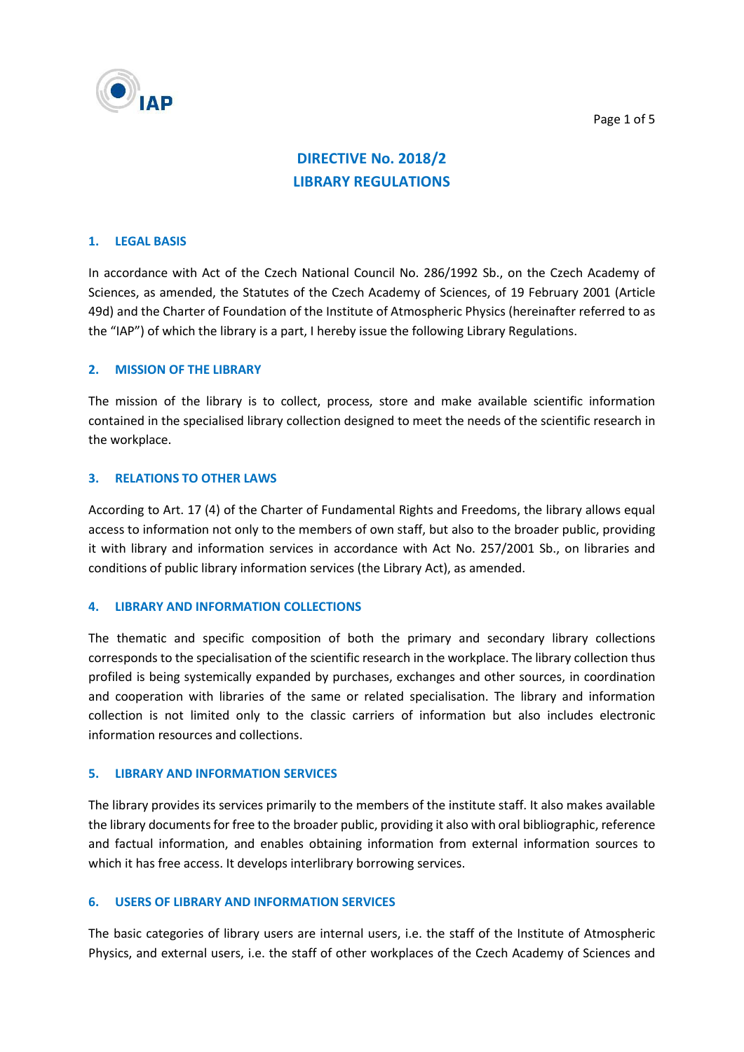

# DIRECTIVE No. 2018/2 LIBRARY REGULATIONS

#### 1. LEGAL BASIS

In accordance with Act of the Czech National Council No. 286/1992 Sb., on the Czech Academy of Sciences, as amended, the Statutes of the Czech Academy of Sciences, of 19 February 2001 (Article 49d) and the Charter of Foundation of the Institute of Atmospheric Physics (hereinafter referred to as the "IAP") of which the library is a part, I hereby issue the following Library Regulations.

# 2. MISSION OF THE LIBRARY

The mission of the library is to collect, process, store and make available scientific information contained in the specialised library collection designed to meet the needs of the scientific research in the workplace.

# 3. RELATIONS TO OTHER LAWS

According to Art. 17 (4) of the Charter of Fundamental Rights and Freedoms, the library allows equal access to information not only to the members of own staff, but also to the broader public, providing it with library and information services in accordance with Act No. 257/2001 Sb., on libraries and conditions of public library information services (the Library Act), as amended.

#### 4. LIBRARY AND INFORMATION COLLECTIONS

The thematic and specific composition of both the primary and secondary library collections corresponds to the specialisation of the scientific research in the workplace. The library collection thus profiled is being systemically expanded by purchases, exchanges and other sources, in coordination and cooperation with libraries of the same or related specialisation. The library and information collection is not limited only to the classic carriers of information but also includes electronic information resources and collections.

#### 5. LIBRARY AND INFORMATION SERVICES

The library provides its services primarily to the members of the institute staff. It also makes available the library documents for free to the broader public, providing it also with oral bibliographic, reference and factual information, and enables obtaining information from external information sources to which it has free access. It develops interlibrary borrowing services.

#### 6. USERS OF LIBRARY AND INFORMATION SERVICES

The basic categories of library users are internal users, i.e. the staff of the Institute of Atmospheric Physics, and external users, i.e. the staff of other workplaces of the Czech Academy of Sciences and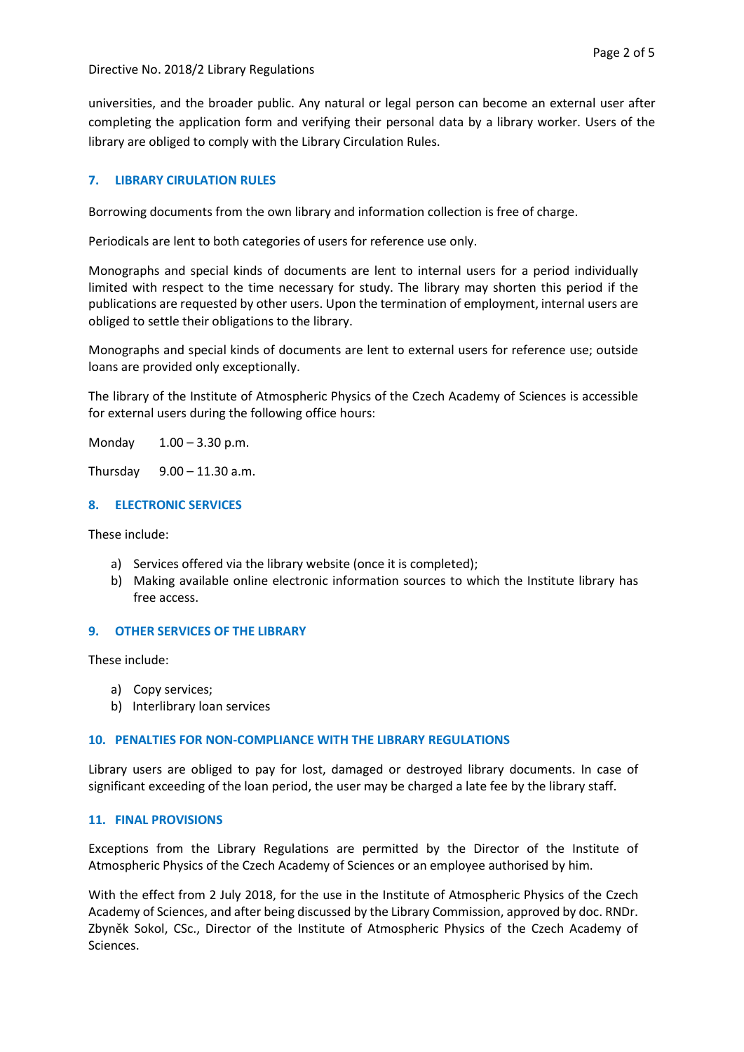universities, and the broader public. Any natural or legal person can become an external user after completing the application form and verifying their personal data by a library worker. Users of the library are obliged to comply with the Library Circulation Rules.

# 7. LIBRARY CIRULATION RULES

Borrowing documents from the own library and information collection is free of charge.

Periodicals are lent to both categories of users for reference use only.

Monographs and special kinds of documents are lent to internal users for a period individually limited with respect to the time necessary for study. The library may shorten this period if the publications are requested by other users. Upon the termination of employment, internal users are obliged to settle their obligations to the library.

Monographs and special kinds of documents are lent to external users for reference use; outside loans are provided only exceptionally.

The library of the Institute of Atmospheric Physics of the Czech Academy of Sciences is accessible for external users during the following office hours:

Monday 1.00 – 3.30 p.m.

Thursday  $9.00 - 11.30$  a.m.

# 8. ELECTRONIC SERVICES

These include:

- a) Services offered via the library website (once it is completed);
- b) Making available online electronic information sources to which the Institute library has free access.

#### 9. OTHER SERVICES OF THE LIBRARY

These include:

- a) Copy services;
- b) Interlibrary loan services

#### 10. PENALTIES FOR NON-COMPLIANCE WITH THE LIBRARY REGULATIONS

Library users are obliged to pay for lost, damaged or destroyed library documents. In case of significant exceeding of the loan period, the user may be charged a late fee by the library staff.

#### 11. FINAL PROVISIONS

Exceptions from the Library Regulations are permitted by the Director of the Institute of Atmospheric Physics of the Czech Academy of Sciences or an employee authorised by him.

With the effect from 2 July 2018, for the use in the Institute of Atmospheric Physics of the Czech Academy of Sciences, and after being discussed by the Library Commission, approved by doc. RNDr. Zbyněk Sokol, CSc., Director of the Institute of Atmospheric Physics of the Czech Academy of Sciences.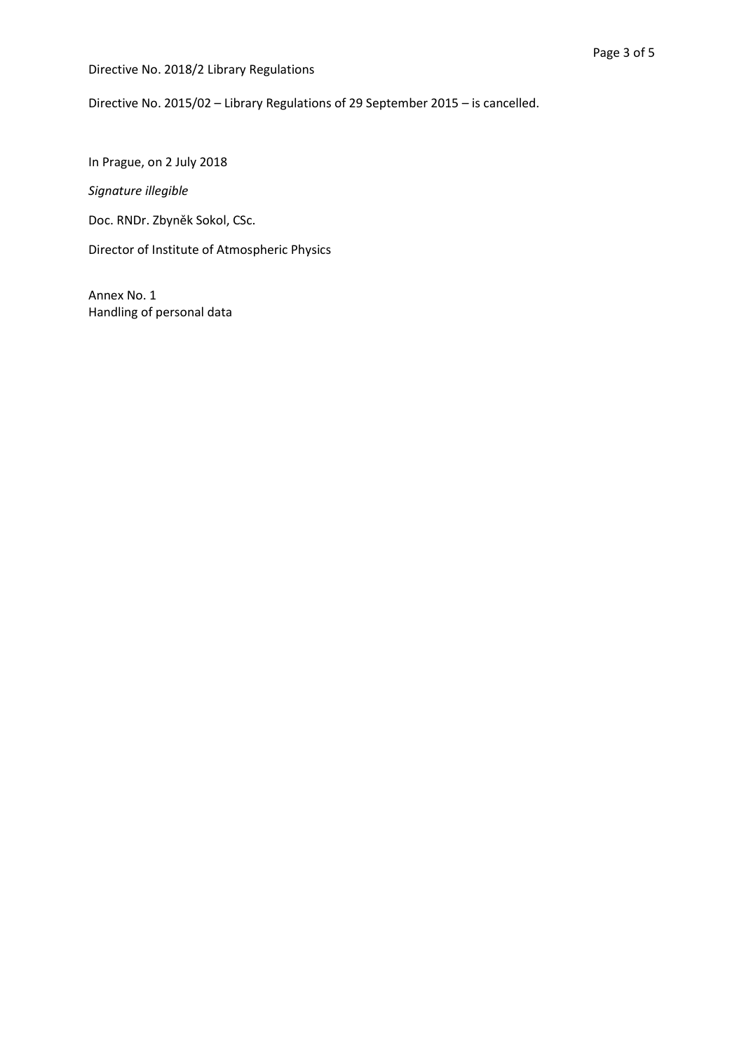Directive No. 2018/2 Library Regulations

Directive No. 2015/02 – Library Regulations of 29 September 2015 – is cancelled.

In Prague, on 2 July 2018

Signature illegible

Doc. RNDr. Zbyněk Sokol, CSc.

Director of Institute of Atmospheric Physics

Annex No. 1 Handling of personal data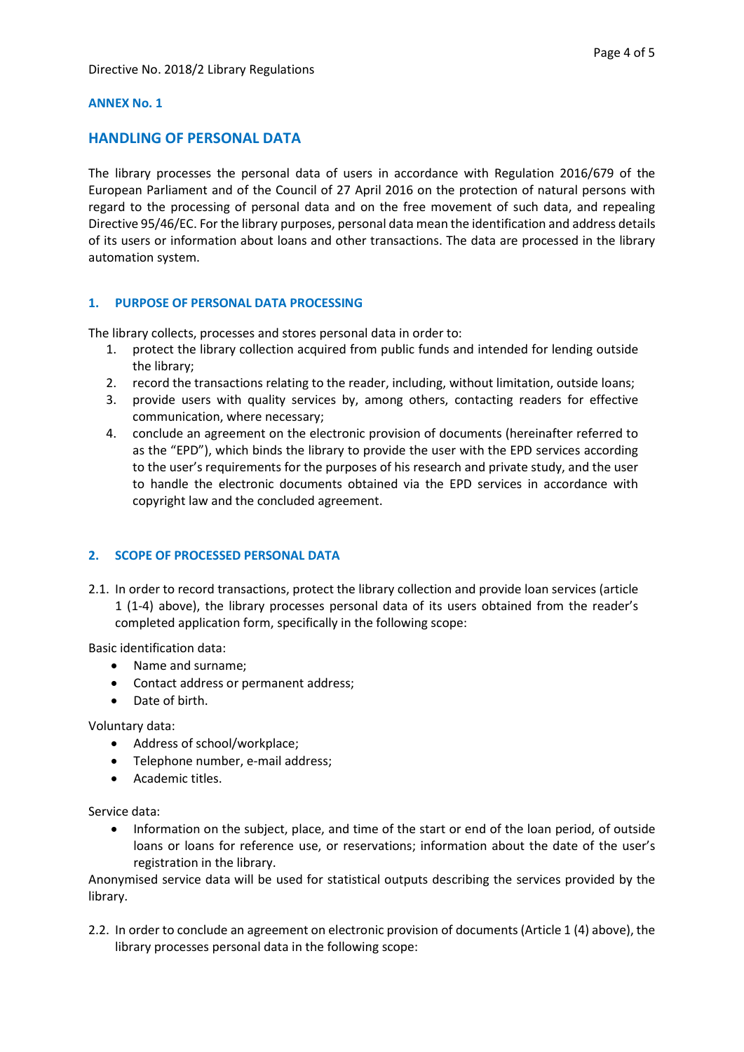#### ANNEX No. 1

# HANDLING OF PERSONAL DATA

The library processes the personal data of users in accordance with Regulation 2016/679 of the European Parliament and of the Council of 27 April 2016 on the protection of natural persons with regard to the processing of personal data and on the free movement of such data, and repealing Directive 95/46/EC. For the library purposes, personal data mean the identification and address details of its users or information about loans and other transactions. The data are processed in the library automation system.

# 1. PURPOSE OF PERSONAL DATA PROCESSING

The library collects, processes and stores personal data in order to:

- 1. protect the library collection acquired from public funds and intended for lending outside the library;
- 2. record the transactions relating to the reader, including, without limitation, outside loans;
- 3. provide users with quality services by, among others, contacting readers for effective communication, where necessary;
- 4. conclude an agreement on the electronic provision of documents (hereinafter referred to as the "EPD"), which binds the library to provide the user with the EPD services according to the user's requirements for the purposes of his research and private study, and the user to handle the electronic documents obtained via the EPD services in accordance with copyright law and the concluded agreement.

#### 2. SCOPE OF PROCESSED PERSONAL DATA

2.1. In order to record transactions, protect the library collection and provide loan services (article 1 (1-4) above), the library processes personal data of its users obtained from the reader's completed application form, specifically in the following scope:

Basic identification data:

- Name and surname;
- Contact address or permanent address;
- Date of birth.

Voluntary data:

- Address of school/workplace;
- Telephone number, e-mail address;
- Academic titles.

Service data:

• Information on the subject, place, and time of the start or end of the loan period, of outside loans or loans for reference use, or reservations; information about the date of the user's registration in the library.

Anonymised service data will be used for statistical outputs describing the services provided by the library.

2.2. In order to conclude an agreement on electronic provision of documents (Article 1 (4) above), the library processes personal data in the following scope: